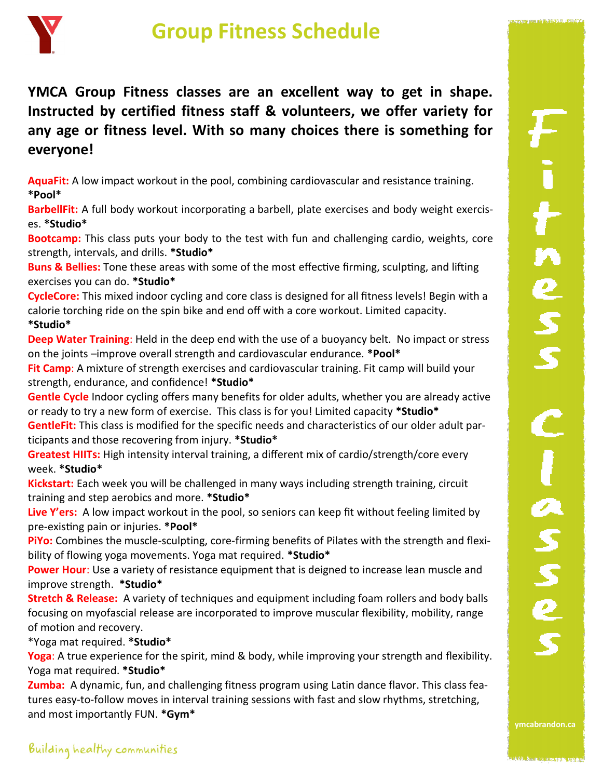

## **Group Fitness Schedule**

**YMCA Group Fitness classes are an excellent way to get in shape. Instructed by certified fitness staff & volunteers, we offer variety for any age or fitness level. With so many choices there is something for everyone!** 

**AquaFit:** A low impact workout in the pool, combining cardiovascular and resistance training. **\*Pool\***

**BarbellFit:** A full body workout incorporating a barbell, plate exercises and body weight exercises. **\*Studio\***

**Bootcamp:** This class puts your body to the test with fun and challenging cardio, weights, core strength, intervals, and drills. **\*Studio\***

**Buns & Bellies:** Tone these areas with some of the most effective firming, sculpting, and lifting exercises you can do. **\*Studio\***

**CycleCore:** This mixed indoor cycling and core class is designed for all fitness levels! Begin with a calorie torching ride on the spin bike and end off with a core workout. Limited capacity. **\*Studio\***

**Deep Water Training**: Held in the deep end with the use of a buoyancy belt. No impact or stress on the joints –improve overall strength and cardiovascular endurance. **\*Pool\***

Fit Camp: A mixture of strength exercises and cardiovascular training. Fit camp will build your strength, endurance, and confidence! **\*Studio\***

**Gentle Cycle** Indoor cycling offers many benefits for older adults, whether you are already active or ready to try a new form of exercise. This class is for you! Limited capacity **\*Studio\***

**GentleFit:** This class is modified for the specific needs and characteristics of our older adult participants and those recovering from injury. **\*Studio\***

**Greatest HIITs:** High intensity interval training, a different mix of cardio/strength/core every week. **\*Studio\***

**Kickstart:** Each week you will be challenged in many ways including strength training, circuit training and step aerobics and more. **\*Studio\***

**Live Y'ers:** A low impact workout in the pool, so seniors can keep fit without feeling limited by pre-existing pain or injuries. **\*Pool\***

**PiYo:** Combines the muscle-sculpting, core-firming benefits of Pilates with the strength and flexibility of flowing yoga movements. Yoga mat required. **\*Studio\***

**Power Hour**: Use a variety of resistance equipment that is deigned to increase lean muscle and improve strength. **\*Studio\***

**Stretch & Release:** A variety of techniques and equipment including foam rollers and body balls focusing on myofascia**l** release are incorporated to improve muscular flexibility, mobility, range of motion and recovery.

\*Yoga mat required. **\*Studio\***

Yoga: A true experience for the spirit, mind & body, while improving your strength and flexibility. Yoga mat required. **\*Studio\***

**Zumba:** A dynamic, fun, and challenging fitness program using Latin dance flavor. This class features easy-to-follow moves in interval training sessions with fast and slow rhythms, stretching, and most importantly FUN. **\*Gym\***

CAPTAIN SHOPE SIGNIFICATIONS OF

**ymcabrandon.ca**